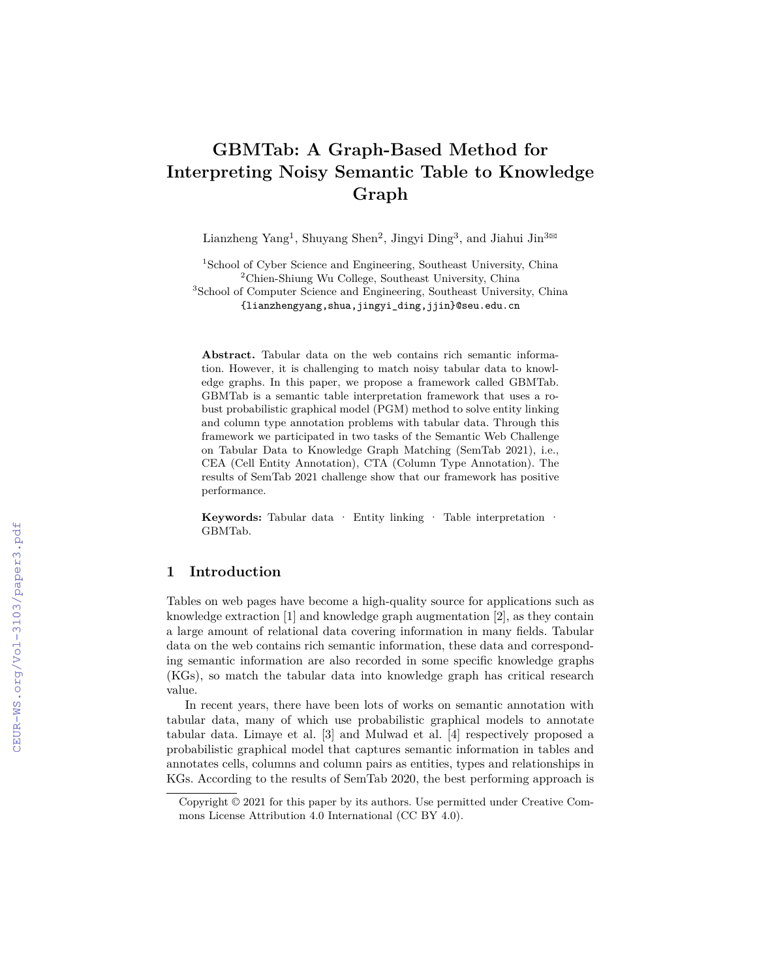# **GBMTab: A Graph-Based Method for Interpreting Noisy Semantic Table to Knowledge Graph**

Lianzheng Yang<sup>1</sup>, Shuyang Shen<sup>2</sup>, Jingyi Ding<sup>3</sup>, and Jiahui Jin<sup>3 $\boxtimes$ </sup>

<sup>1</sup>School of Cyber Science and Engineering, Southeast University, China <sup>2</sup>Chien-Shiung Wu College, Southeast University, China <sup>3</sup>School of Computer Science and Engineering, Southeast University, China {lianzhengyang,shua,jingyi\_ding,jjin}@seu.edu.cn

**Abstract.** Tabular data on the web contains rich semantic information. However, it is challenging to match noisy tabular data to knowledge graphs. In this paper, we propose a framework called GBMTab. GBMTab is a semantic table interpretation framework that uses a robust probabilistic graphical model (PGM) method to solve entity linking and column type annotation problems with tabular data. Through this framework we participated in two tasks of the Semantic Web Challenge on Tabular Data to Knowledge Graph Matching (SemTab 2021), i.e., CEA (Cell Entity Annotation), CTA (Column Type Annotation). The results of SemTab 2021 challenge show that our framework has positive performance.

**Keywords:** Tabular data · Entity linking · Table interpretation · GBMTab.

# **1 Introduction**

Tables on web pages have become a high-quality source for applications such as knowledge extraction [1] and knowledge graph augmentation [2], as they contain a large amount of relational data covering information in many fields. Tabular data on the web contains rich semantic information, these data and corresponding semantic information are also recorded in some specific knowledge graphs (KGs), so match the tabular data into knowledge graph has critical research value.

In recent years, there have been lots of works on semantic annotation with tabular data, many of which use probabilistic graphical models to annotate tabular data. Limaye et al. [3] and Mulwad et al. [4] respectively proposed a probabilistic graphical model that captures semantic information in tables and annotates cells, columns and column pairs as entities, types and relationships in KGs. According to the results of SemTab 2020, the best performing approach is

Copyright © 2021 for this paper by its authors. Use permitted under Creative Commons License Attribution 4.0 International (CC BY 4.0).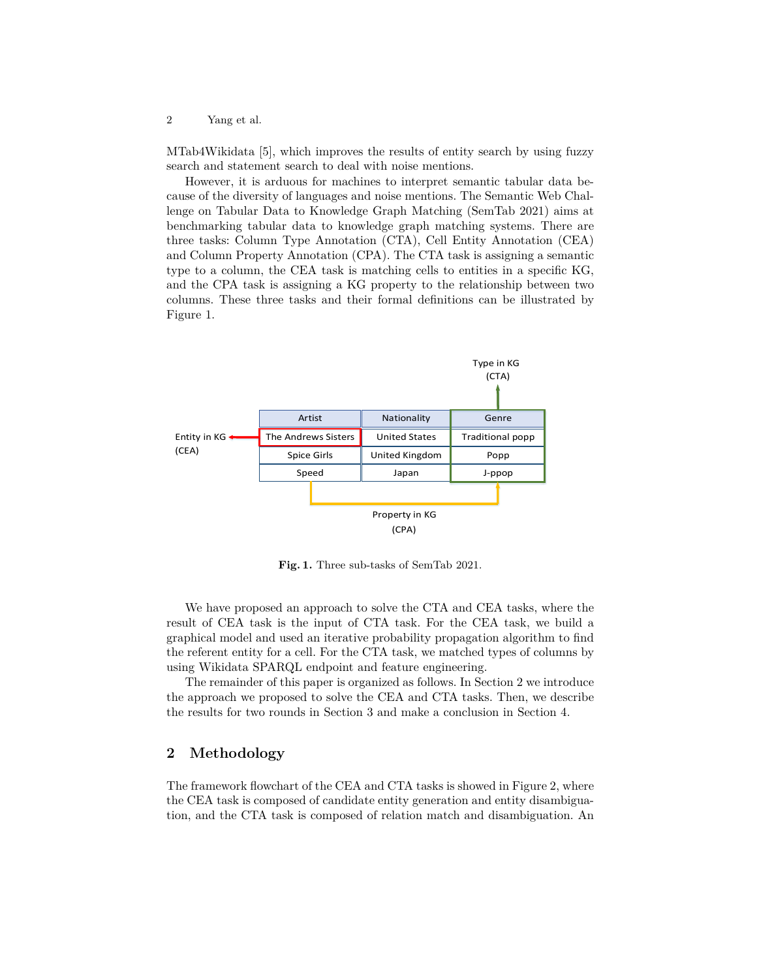MTab4Wikidata [5], which improves the results of entity search by using fuzzy search and statement search to deal with noise mentions.

However, it is arduous for machines to interpret semantic tabular data because of the diversity of languages and noise mentions. The Semantic Web Challenge on Tabular Data to Knowledge Graph Matching (SemTab 2021) aims at benchmarking tabular data to knowledge graph matching systems. There are three tasks: Column Type Annotation (CTA), Cell Entity Annotation (CEA) and Column Property Annotation (CPA). The CTA task is assigning a semantic type to a column, the CEA task is matching cells to entities in a specific KG, and the CPA task is assigning a KG property to the relationship between two columns. These three tasks and their formal definitions can be illustrated by Figure 1.



**Fig. 1.** Three sub-tasks of SemTab 2021.

We have proposed an approach to solve the CTA and CEA tasks, where the result of CEA task is the input of CTA task. For the CEA task, we build a graphical model and used an iterative probability propagation algorithm to find the referent entity for a cell. For the CTA task, we matched types of columns by using Wikidata SPARQL endpoint and feature engineering.

The remainder of this paper is organized as follows. In Section 2 we introduce the approach we proposed to solve the CEA and CTA tasks. Then, we describe the results for two rounds in Section 3 and make a conclusion in Section 4.

# **2 Methodology**

The framework flowchart of the CEA and CTA tasks is showed in Figure 2, where the CEA task is composed of candidate entity generation and entity disambiguation, and the CTA task is composed of relation match and disambiguation. An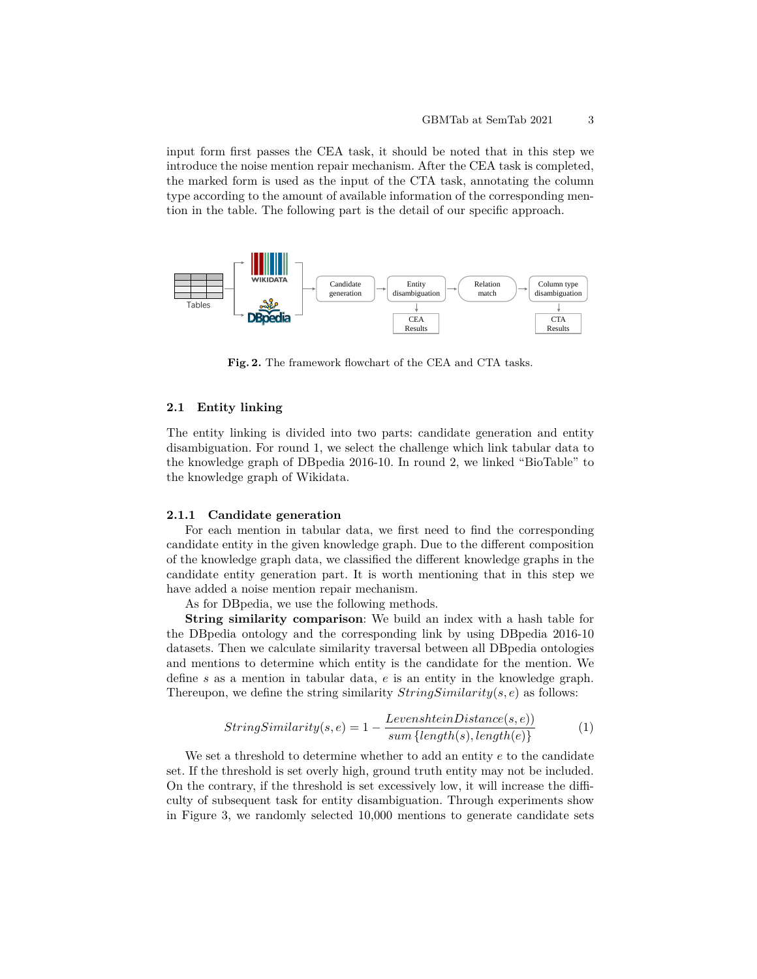input form first passes the CEA task, it should be noted that in this step we introduce the noise mention repair mechanism. After the CEA task is completed, the marked form is used as the input of the CTA task, annotating the column type according to the amount of available information of the corresponding mention in the table. The following part is the detail of our specific approach.



**Fig. 2.** The framework flowchart of the CEA and CTA tasks.

## **2.1 Entity linking**

The entity linking is divided into two parts: candidate generation and entity disambiguation. For round 1, we select the challenge which link tabular data to the knowledge graph of DBpedia 2016-10. In round 2, we linked "BioTable" to the knowledge graph of Wikidata.

#### **2.1.1 Candidate generation**

For each mention in tabular data, we first need to find the corresponding candidate entity in the given knowledge graph. Due to the different composition of the knowledge graph data, we classified the different knowledge graphs in the candidate entity generation part. It is worth mentioning that in this step we have added a noise mention repair mechanism.

As for DBpedia, we use the following methods.

**String similarity comparison**: We build an index with a hash table for the DBpedia ontology and the corresponding link by using DBpedia 2016-10 datasets. Then we calculate similarity traversal between all DBpedia ontologies and mentions to determine which entity is the candidate for the mention. We define *s* as a mention in tabular data, *e* is an entity in the knowledge graph. Thereupon, we define the string similarity *StringSimilarity*(*s, e*) as follows:

$$
StringSimilarity(s, e) = 1 - \frac{LevenshteinDistance(s, e))}{sum{ \{ length(s), length(e) \}}}
$$
(1)

We set a threshold to determine whether to add an entity *e* to the candidate set. If the threshold is set overly high, ground truth entity may not be included. On the contrary, if the threshold is set excessively low, it will increase the difficulty of subsequent task for entity disambiguation. Through experiments show in Figure 3, we randomly selected 10,000 mentions to generate candidate sets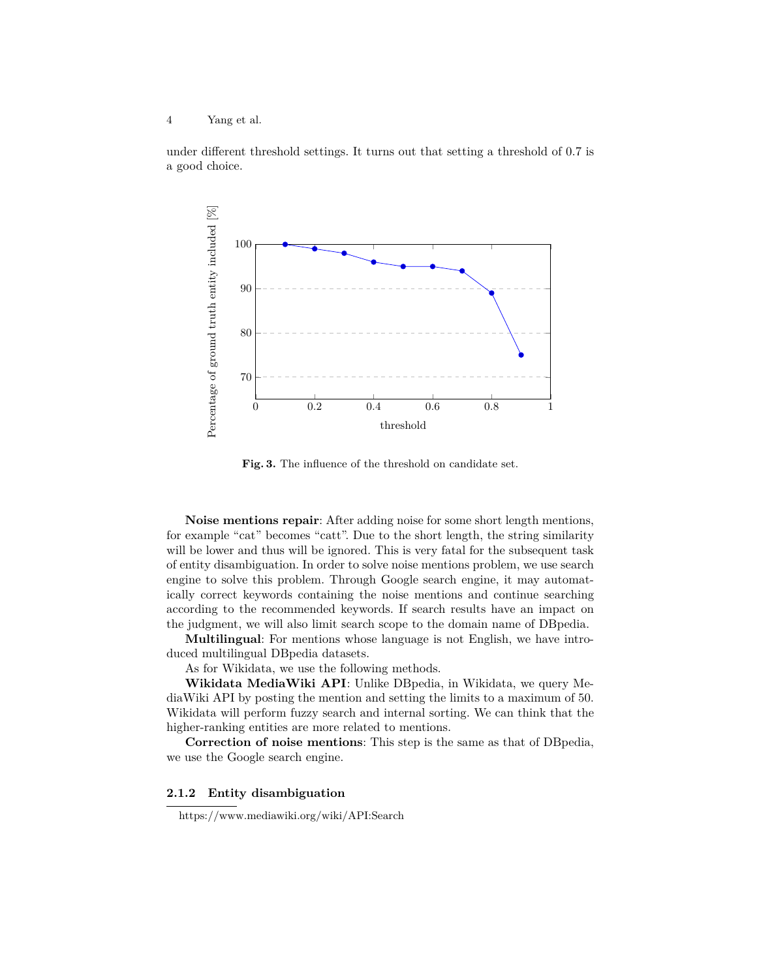under different threshold settings. It turns out that setting a threshold of 0.7 is a good choice.



**Fig. 3.** The influence of the threshold on candidate set.

**Noise mentions repair**: After adding noise for some short length mentions, for example "cat" becomes "catt". Due to the short length, the string similarity will be lower and thus will be ignored. This is very fatal for the subsequent task of entity disambiguation. In order to solve noise mentions problem, we use search engine to solve this problem. Through Google search engine, it may automatically correct keywords containing the noise mentions and continue searching according to the recommended keywords. If search results have an impact on the judgment, we will also limit search scope to the domain name of DBpedia.

**Multilingual**: For mentions whose language is not English, we have introduced multilingual DBpedia datasets.

As for Wikidata, we use the following methods.

**Wikidata MediaWiki API**: Unlike DBpedia, in Wikidata, we query MediaWiki API by posting the mention and setting the limits to a maximum of 50. Wikidata will perform fuzzy search and internal sorting. We can think that the higher-ranking entities are more related to mentions.

**Correction of noise mentions**: This step is the same as that of DBpedia, we use the Google search engine.

## **2.1.2 Entity disambiguation**

https://www.mediawiki.org/wiki/API:Search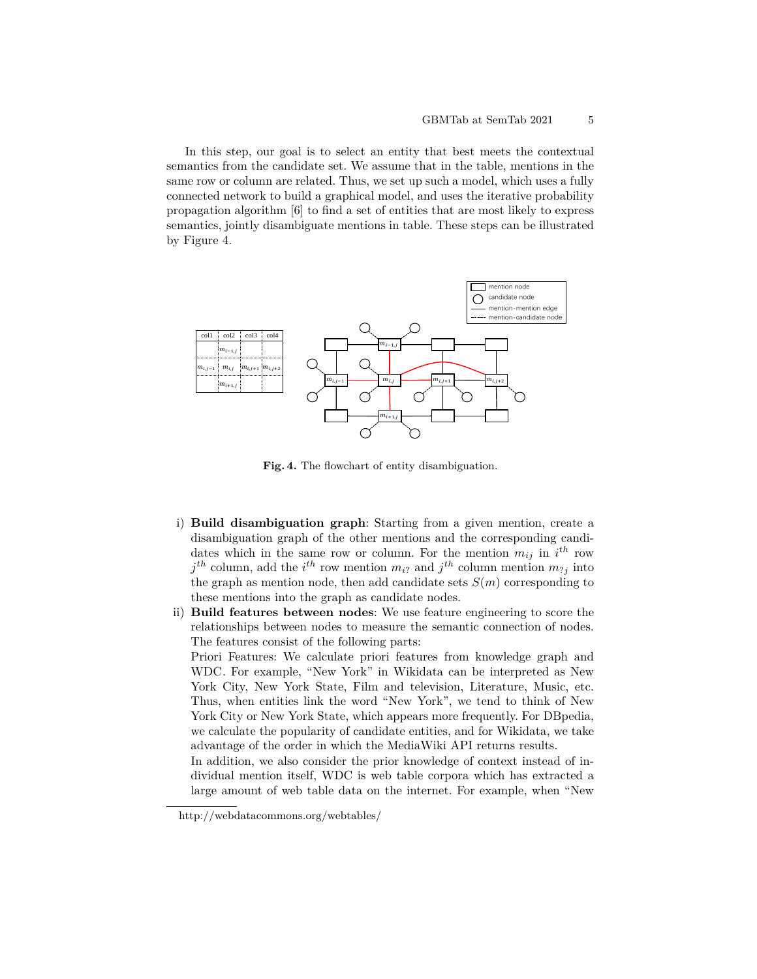In this step, our goal is to select an entity that best meets the contextual semantics from the candidate set. We assume that in the table, mentions in the same row or column are related. Thus, we set up such a model, which uses a fully connected network to build a graphical model, and uses the iterative probability propagation algorithm [6] to find a set of entities that are most likely to express semantics, jointly disambiguate mentions in table. These steps can be illustrated by Figure 4.



Fig. 4. The flowchart of entity disambiguation.

- i) **Build disambiguation graph**: Starting from a given mention, create a disambiguation graph of the other mentions and the corresponding candidates which in the same row or column. For the mention  $m_{ij}$  in  $i^{th}$  row  $j$ <sup>th</sup> column, add the *i*<sup>th</sup> row mention  $m_{i}$ ? and  $j$ <sup>th</sup> column mention  $m_{i}$ <sup>*j*</sup> into the graph as mention node, then add candidate sets  $S(m)$  corresponding to these mentions into the graph as candidate nodes.
- ii) **Build features between nodes**: We use feature engineering to score the relationships between nodes to measure the semantic connection of nodes. The features consist of the following parts:

Priori Features: We calculate priori features from knowledge graph and WDC. For example, "New York" in Wikidata can be interpreted as New York City, New York State, Film and television, Literature, Music, etc. Thus, when entities link the word "New York", we tend to think of New York City or New York State, which appears more frequently. For DBpedia, we calculate the popularity of candidate entities, and for Wikidata, we take advantage of the order in which the MediaWiki API returns results.

In addition, we also consider the prior knowledge of context instead of individual mention itself, WDC is web table corpora which has extracted a large amount of web table data on the internet. For example, when "New

http://webdatacommons.org/webtables/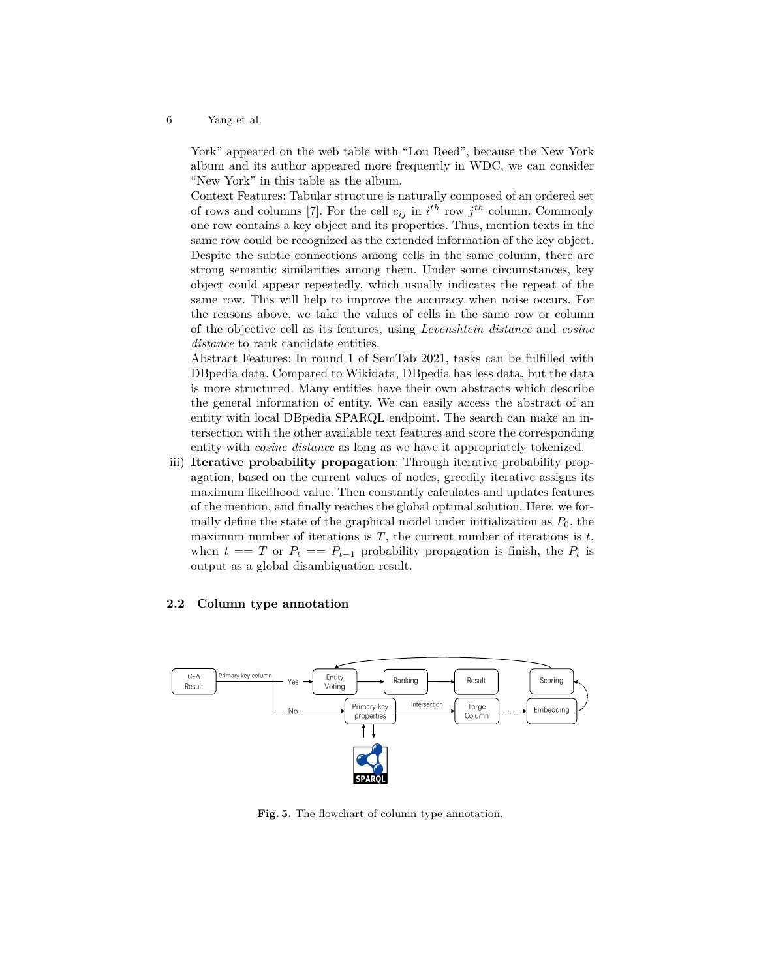York" appeared on the web table with "Lou Reed", because the New York album and its author appeared more frequently in WDC, we can consider "New York" in this table as the album.

Context Features: Tabular structure is naturally composed of an ordered set of rows and columns [7]. For the cell  $c_{ij}$  in  $i^{th}$  row  $j^{th}$  column. Commonly one row contains a key object and its properties. Thus, mention texts in the same row could be recognized as the extended information of the key object. Despite the subtle connections among cells in the same column, there are strong semantic similarities among them. Under some circumstances, key object could appear repeatedly, which usually indicates the repeat of the same row. This will help to improve the accuracy when noise occurs. For the reasons above, we take the values of cells in the same row or column of the objective cell as its features, using *Levenshtein distance* and *cosine distance* to rank candidate entities.

Abstract Features: In round 1 of SemTab 2021, tasks can be fulfilled with DBpedia data. Compared to Wikidata, DBpedia has less data, but the data is more structured. Many entities have their own abstracts which describe the general information of entity. We can easily access the abstract of an entity with local DBpedia SPARQL endpoint. The search can make an intersection with the other available text features and score the corresponding entity with *cosine distance* as long as we have it appropriately tokenized.

iii) **Iterative probability propagation**: Through iterative probability propagation, based on the current values of nodes, greedily iterative assigns its maximum likelihood value. Then constantly calculates and updates features of the mention, and finally reaches the global optimal solution. Here, we formally define the state of the graphical model under initialization as  $P_0$ , the maximum number of iterations is  $T$ , the current number of iterations is  $t$ , when  $t == T$  or  $P_t == P_{t-1}$  probability propagation is finish, the  $P_t$  is output as a global disambiguation result.

## **2.2 Column type annotation**



Fig. 5. The flowchart of column type annotation.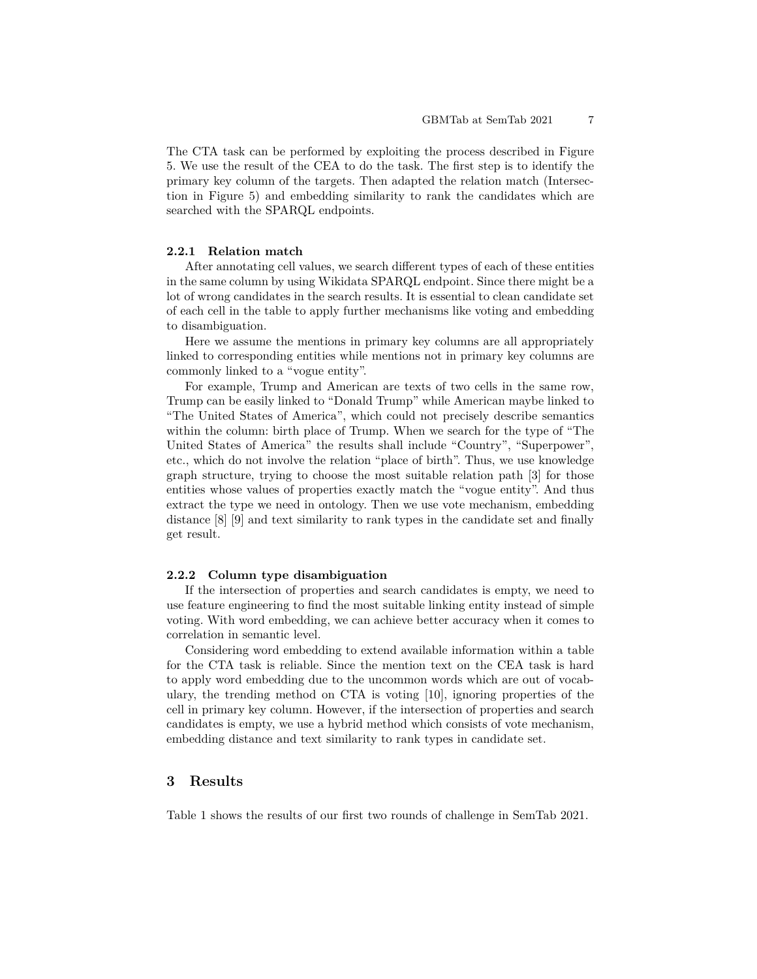The CTA task can be performed by exploiting the process described in Figure 5. We use the result of the CEA to do the task. The first step is to identify the primary key column of the targets. Then adapted the relation match (Intersection in Figure 5) and embedding similarity to rank the candidates which are searched with the SPARQL endpoints.

## **2.2.1 Relation match**

After annotating cell values, we search different types of each of these entities in the same column by using Wikidata SPARQL endpoint. Since there might be a lot of wrong candidates in the search results. It is essential to clean candidate set of each cell in the table to apply further mechanisms like voting and embedding to disambiguation.

Here we assume the mentions in primary key columns are all appropriately linked to corresponding entities while mentions not in primary key columns are commonly linked to a "vogue entity".

For example, Trump and American are texts of two cells in the same row, Trump can be easily linked to "Donald Trump" while American maybe linked to "The United States of America", which could not precisely describe semantics within the column: birth place of Trump. When we search for the type of "The United States of America" the results shall include "Country", "Superpower", etc., which do not involve the relation "place of birth". Thus, we use knowledge graph structure, trying to choose the most suitable relation path [3] for those entities whose values of properties exactly match the "vogue entity". And thus extract the type we need in ontology. Then we use vote mechanism, embedding distance [8] [9] and text similarity to rank types in the candidate set and finally get result.

#### **2.2.2 Column type disambiguation**

If the intersection of properties and search candidates is empty, we need to use feature engineering to find the most suitable linking entity instead of simple voting. With word embedding, we can achieve better accuracy when it comes to correlation in semantic level.

Considering word embedding to extend available information within a table for the CTA task is reliable. Since the mention text on the CEA task is hard to apply word embedding due to the uncommon words which are out of vocabulary, the trending method on CTA is voting [10], ignoring properties of the cell in primary key column. However, if the intersection of properties and search candidates is empty, we use a hybrid method which consists of vote mechanism, embedding distance and text similarity to rank types in candidate set.

# **3 Results**

Table 1 shows the results of our first two rounds of challenge in SemTab 2021.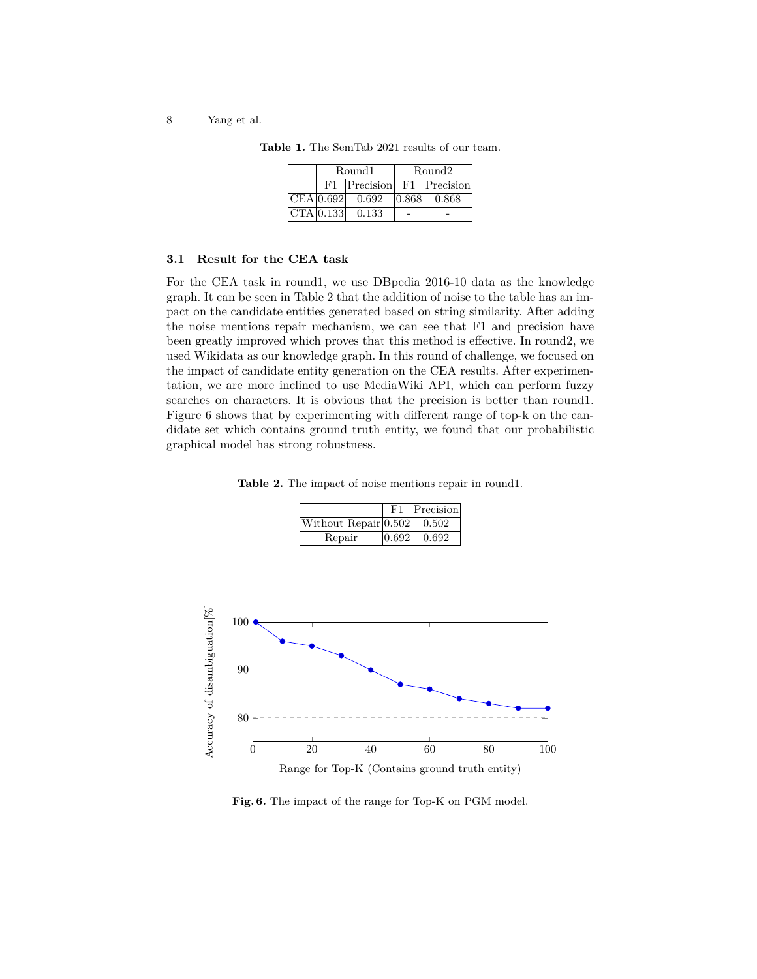| Round1    |                                  | Round2 |       |
|-----------|----------------------------------|--------|-------|
| F1        | $ Precision $ $F1$ $ Precision $ |        |       |
| CEA 0.692 | 0.692                            | 0.868  | 0.868 |
| CTA 0.133 | 0.133                            |        |       |

**Table 1.** The SemTab 2021 results of our team.

#### **3.1 Result for the CEA task**

For the CEA task in round1, we use DBpedia 2016-10 data as the knowledge graph. It can be seen in Table 2 that the addition of noise to the table has an impact on the candidate entities generated based on string similarity. After adding the noise mentions repair mechanism, we can see that F1 and precision have been greatly improved which proves that this method is effective. In round2, we used Wikidata as our knowledge graph. In this round of challenge, we focused on the impact of candidate entity generation on the CEA results. After experimentation, we are more inclined to use MediaWiki API, which can perform fuzzy searches on characters. It is obvious that the precision is better than round1. Figure 6 shows that by experimenting with different range of top-k on the candidate set which contains ground truth entity, we found that our probabilistic graphical model has strong robustness.

**Table 2.** The impact of noise mentions repair in round1.

|                      | $_{\rm F1}$ | Precision |
|----------------------|-------------|-----------|
| Without Repair 0.502 |             | 0.502     |
| Repair               | 0.692       | 0.692     |



**Fig. 6.** The impact of the range for Top-K on PGM model.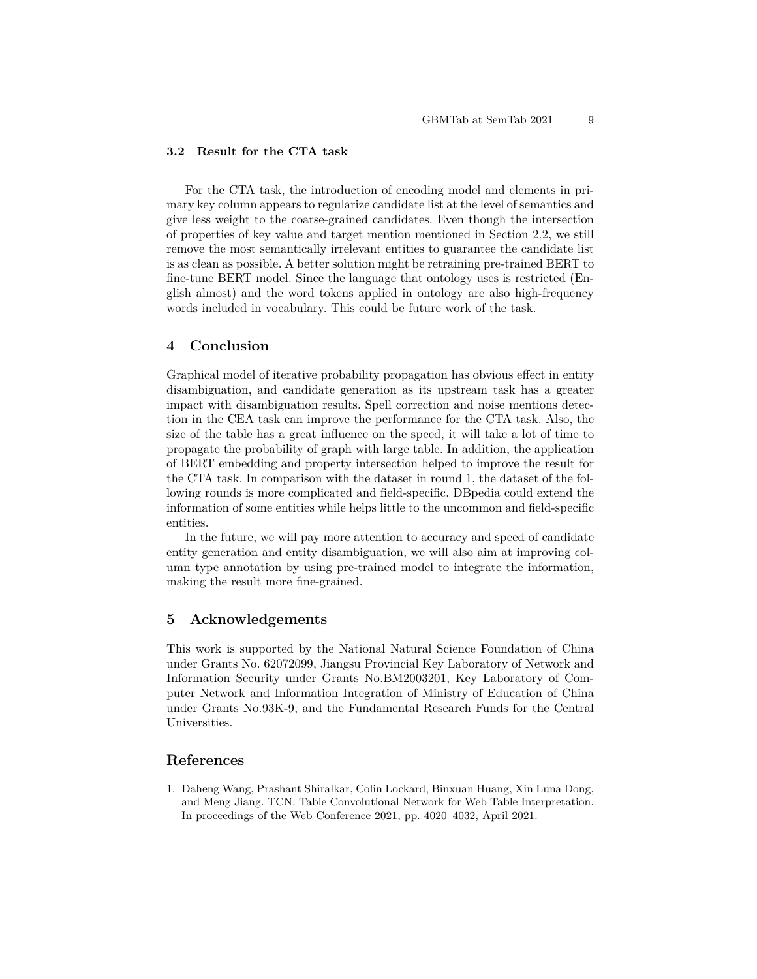### **3.2 Result for the CTA task**

For the CTA task, the introduction of encoding model and elements in primary key column appears to regularize candidate list at the level of semantics and give less weight to the coarse-grained candidates. Even though the intersection of properties of key value and target mention mentioned in Section 2.2, we still remove the most semantically irrelevant entities to guarantee the candidate list is as clean as possible. A better solution might be retraining pre-trained BERT to fine-tune BERT model. Since the language that ontology uses is restricted (English almost) and the word tokens applied in ontology are also high-frequency words included in vocabulary. This could be future work of the task.

# **4 Conclusion**

Graphical model of iterative probability propagation has obvious effect in entity disambiguation, and candidate generation as its upstream task has a greater impact with disambiguation results. Spell correction and noise mentions detection in the CEA task can improve the performance for the CTA task. Also, the size of the table has a great influence on the speed, it will take a lot of time to propagate the probability of graph with large table. In addition, the application of BERT embedding and property intersection helped to improve the result for the CTA task. In comparison with the dataset in round 1, the dataset of the following rounds is more complicated and field-specific. DBpedia could extend the information of some entities while helps little to the uncommon and field-specific entities.

In the future, we will pay more attention to accuracy and speed of candidate entity generation and entity disambiguation, we will also aim at improving column type annotation by using pre-trained model to integrate the information, making the result more fine-grained.

# **5 Acknowledgements**

This work is supported by the National Natural Science Foundation of China under Grants No. 62072099, Jiangsu Provincial Key Laboratory of Network and Information Security under Grants No.BM2003201, Key Laboratory of Computer Network and Information Integration of Ministry of Education of China under Grants No.93K-9, and the Fundamental Research Funds for the Central Universities.

# **References**

1. Daheng Wang, Prashant Shiralkar, Colin Lockard, Binxuan Huang, Xin Luna Dong, and Meng Jiang. TCN: Table Convolutional Network for Web Table Interpretation. In proceedings of the Web Conference 2021, pp. 4020–4032, April 2021.